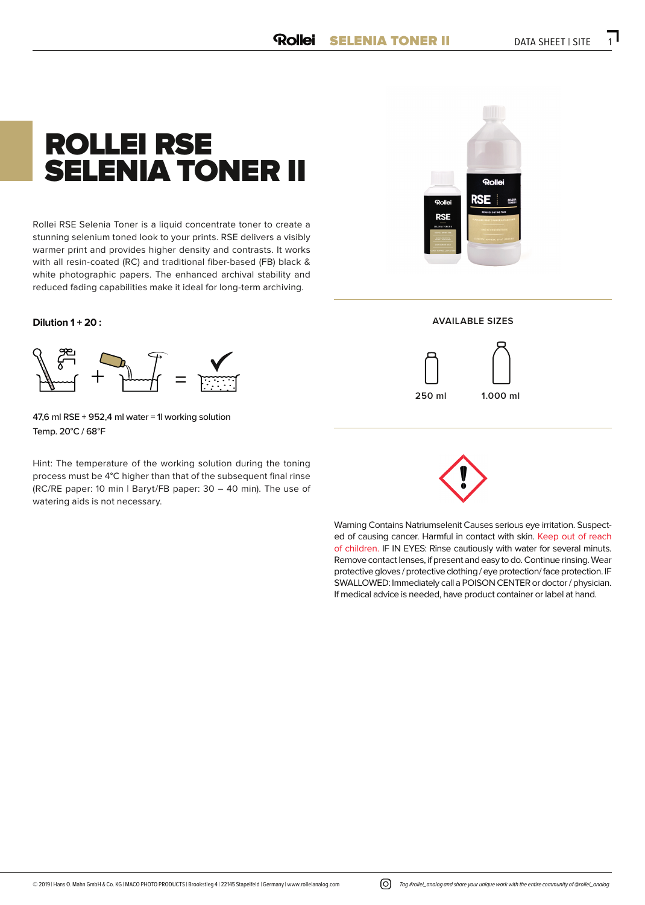## ROLLEI RSE SELENIA TONER II

Rollei RSE Selenia Toner is a liquid concentrate toner to create a stunning selenium toned look to your prints. RSE delivers a visibly warmer print and provides higher density and contrasts. It works with all resin-coated (RC) and traditional fiber-based (FB) black & white photographic papers. The enhanced archival stability and reduced fading capabilities make it ideal for long-term archiving.

#### **Dilution 1 + 20 :**



47,6 ml RSE + 952,4 ml water = 1 $l$  working solution Temp. 20°C / 68°F

Hint: The temperature of the working solution during the toning process must be 4°C higher than that of the subsequent final rinse (RC/RE paper: 10 min | Baryt/FB paper: 30 – 40 min). The use of watering aids is not necessary.

# RSE DCE

**AVAILABLE SIZES**





Warning Contains Natriumselenit Causes serious eye irritation. Suspected of causing cancer. Harmful in contact with skin. Keep out of reach of children. IF IN EYES: Rinse cautiously with water for several minuts. Remove contact lenses, if present and easy to do. Continue rinsing. Wear protective gloves / protective clothing / eye protection/ face protection. IF SWALLOWED: Immediately call a POISON CENTER or doctor / physician. If medical advice is needed, have product container or label at hand.